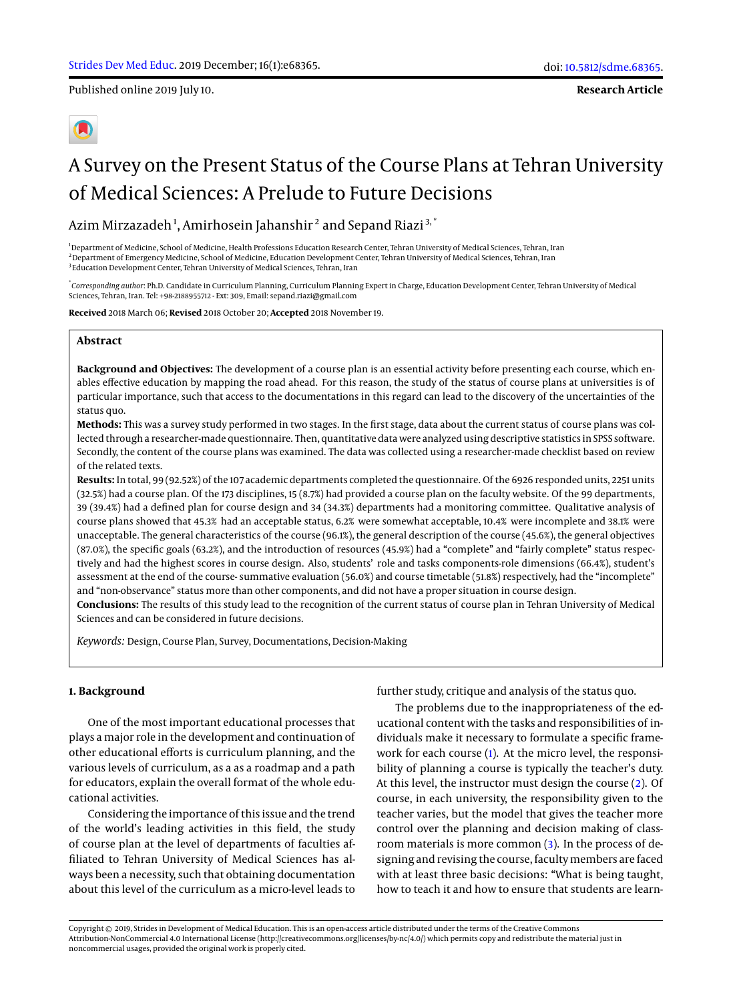Published online 2019 July 10.

**Research Article**

# A Survey on the Present Status of the Course Plans at Tehran University of Medical Sciences: A Prelude to Future Decisions

Azim Mirzazadeh<sup>1</sup>, Amirhosein Jahanshir<sup>2</sup> and Sepand Riazi<sup>3,</sup>\*

<sup>1</sup> Department of Medicine, School of Medicine, Health Professions Education Research Center, Tehran University of Medical Sciences, Tehran, Iran <sup>2</sup> Department of Emergency Medicine, School of Medicine, Education Development Center, Tehran University of Medical Sciences, Tehran, Iran <sup>3</sup> Education Development Center, Tehran University of Medical Sciences, Tehran, Iran

\* *Corresponding author*: Ph.D. Candidate in Curriculum Planning, Curriculum Planning Expert in Charge, Education Development Center, Tehran University of Medical Sciences, Tehran, Iran. Tel: +98-2188955712 - Ext: 309, Email: sepand.riazi@gmail.com

**Received** 2018 March 06; **Revised** 2018 October 20; **Accepted** 2018 November 19.

#### **Abstract**

**Background and Objectives:** The development of a course plan is an essential activity before presenting each course, which enables effective education by mapping the road ahead. For this reason, the study of the status of course plans at universities is of particular importance, such that access to the documentations in this regard can lead to the discovery of the uncertainties of the status quo.

**Methods:** This was a survey study performed in two stages. In the first stage, data about the current status of course plans was collected through a researcher-made questionnaire. Then, quantitative data were analyzed using descriptive statistics in SPSS software. Secondly, the content of the course plans was examined. The data was collected using a researcher-made checklist based on review of the related texts.

**Results:** In total, 99 (92.52%) of the 107 academic departments completed the questionnaire. Of the 6926 responded units, 2251 units (32.5%) had a course plan. Of the 173 disciplines, 15 (8.7%) had provided a course plan on the faculty website. Of the 99 departments, 39 (39.4%) had a defined plan for course design and 34 (34.3%) departments had a monitoring committee. Qualitative analysis of course plans showed that 45.3% had an acceptable status, 6.2% were somewhat acceptable, 10.4% were incomplete and 38.1% were unacceptable. The general characteristics of the course (96.1%), the general description of the course (45.6%), the general objectives (87.0%), the specific goals (63.2%), and the introduction of resources (45.9%) had a "complete" and "fairly complete" status respectively and had the highest scores in course design. Also, students' role and tasks components-role dimensions (66.4%), student's assessment at the end of the course- summative evaluation (56.0%) and course timetable (51.8%) respectively, had the "incomplete" and "non-observance" status more than other components, and did not have a proper situation in course design.

**Conclusions:** The results of this study lead to the recognition of the current status of course plan in Tehran University of Medical Sciences and can be considered in future decisions.

*Keywords:* Design, Course Plan, Survey, Documentations, Decision-Making

## **1. Background**

One of the most important educational processes that plays a major role in the development and continuation of other educational efforts is curriculum planning, and the various levels of curriculum, as a as a roadmap and a path for educators, explain the overall format of the whole educational activities.

Considering the importance of this issue and the trend of the world's leading activities in this field, the study of course plan at the level of departments of faculties affiliated to Tehran University of Medical Sciences has always been a necessity, such that obtaining documentation about this level of the curriculum as a micro-level leads to

further study, critique and analysis of the status quo.

The problems due to the inappropriateness of the educational content with the tasks and responsibilities of individuals make it necessary to formulate a specific framework for each course [\(1\)](#page-6-0). At the micro level, the responsibility of planning a course is typically the teacher's duty. At this level, the instructor must design the course [\(2\)](#page-6-1). Of course, in each university, the responsibility given to the teacher varies, but the model that gives the teacher more control over the planning and decision making of classroom materials is more common [\(3\)](#page-6-2). In the process of designing and revising the course, faculty members are faced with at least three basic decisions: "What is being taught, how to teach it and how to ensure that students are learn-

Copyright © 2019, Strides in Development of Medical Education. This is an open-access article distributed under the terms of the Creative Commons Attribution-NonCommercial 4.0 International License (http://creativecommons.org/licenses/by-nc/4.0/) which permits copy and redistribute the material just in noncommercial usages, provided the original work is properly cited.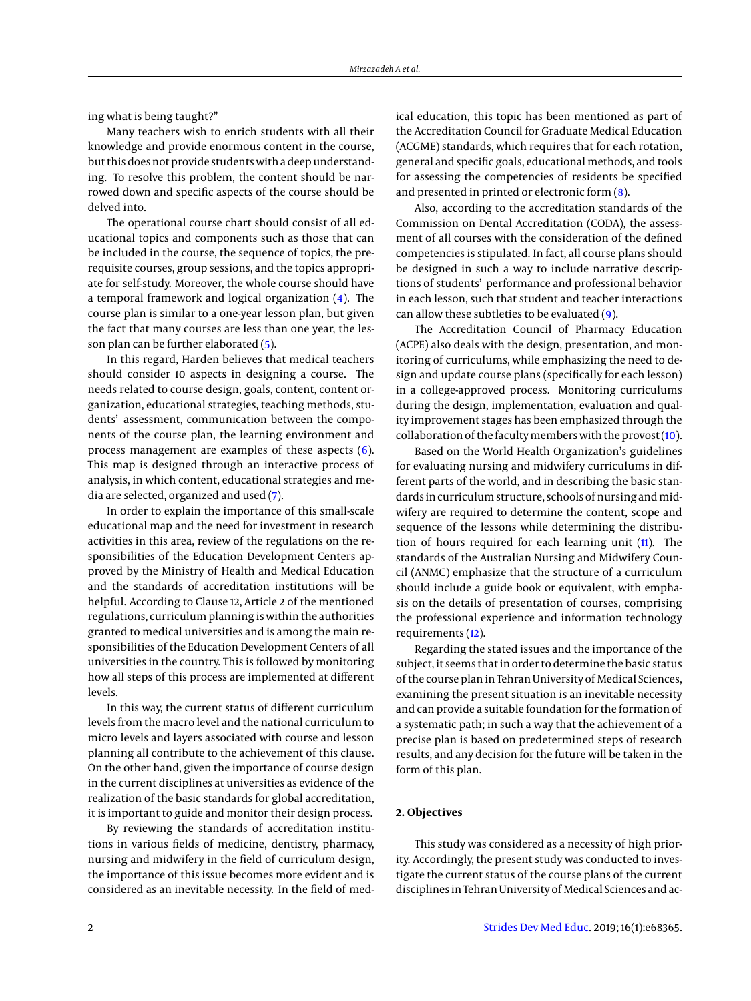ing what is being taught?"

Many teachers wish to enrich students with all their knowledge and provide enormous content in the course, but this does not provide students with a deep understanding. To resolve this problem, the content should be narrowed down and specific aspects of the course should be delved into.

The operational course chart should consist of all educational topics and components such as those that can be included in the course, the sequence of topics, the prerequisite courses, group sessions, and the topics appropriate for self-study. Moreover, the whole course should have a temporal framework and logical organization [\(4\)](#page-6-3). The course plan is similar to a one-year lesson plan, but given the fact that many courses are less than one year, the lesson plan can be further elaborated [\(5\)](#page-6-4).

In this regard, Harden believes that medical teachers should consider 10 aspects in designing a course. The needs related to course design, goals, content, content organization, educational strategies, teaching methods, students' assessment, communication between the components of the course plan, the learning environment and process management are examples of these aspects [\(6\)](#page-6-5). This map is designed through an interactive process of analysis, in which content, educational strategies and media are selected, organized and used [\(7\)](#page-6-6).

In order to explain the importance of this small-scale educational map and the need for investment in research activities in this area, review of the regulations on the responsibilities of the Education Development Centers approved by the Ministry of Health and Medical Education and the standards of accreditation institutions will be helpful. According to Clause 12, Article 2 of the mentioned regulations, curriculum planning is within the authorities granted to medical universities and is among the main responsibilities of the Education Development Centers of all universities in the country. This is followed by monitoring how all steps of this process are implemented at different levels.

In this way, the current status of different curriculum levels from the macro level and the national curriculum to micro levels and layers associated with course and lesson planning all contribute to the achievement of this clause. On the other hand, given the importance of course design in the current disciplines at universities as evidence of the realization of the basic standards for global accreditation, it is important to guide and monitor their design process.

By reviewing the standards of accreditation institutions in various fields of medicine, dentistry, pharmacy, nursing and midwifery in the field of curriculum design, the importance of this issue becomes more evident and is considered as an inevitable necessity. In the field of medical education, this topic has been mentioned as part of the Accreditation Council for Graduate Medical Education (ACGME) standards, which requires that for each rotation, general and specific goals, educational methods, and tools for assessing the competencies of residents be specified and presented in printed or electronic form [\(8\)](#page-6-7).

Also, according to the accreditation standards of the Commission on Dental Accreditation (CODA), the assessment of all courses with the consideration of the defined competencies is stipulated. In fact, all course plans should be designed in such a way to include narrative descriptions of students' performance and professional behavior in each lesson, such that student and teacher interactions can allow these subtleties to be evaluated [\(9\)](#page-6-8).

The Accreditation Council of Pharmacy Education (ACPE) also deals with the design, presentation, and monitoring of curriculums, while emphasizing the need to design and update course plans (specifically for each lesson) in a college-approved process. Monitoring curriculums during the design, implementation, evaluation and quality improvement stages has been emphasized through the collaboration of the faculty members with the provost  $(10)$ .

Based on the World Health Organization's guidelines for evaluating nursing and midwifery curriculums in different parts of the world, and in describing the basic standards in curriculum structure, schools of nursing and midwifery are required to determine the content, scope and sequence of the lessons while determining the distribution of hours required for each learning unit  $(11)$ . The standards of the Australian Nursing and Midwifery Council (ANMC) emphasize that the structure of a curriculum should include a guide book or equivalent, with emphasis on the details of presentation of courses, comprising the professional experience and information technology requirements [\(12\)](#page-6-11).

Regarding the stated issues and the importance of the subject, it seems that in order to determine the basic status of the course plan in Tehran University of Medical Sciences, examining the present situation is an inevitable necessity and can provide a suitable foundation for the formation of a systematic path; in such a way that the achievement of a precise plan is based on predetermined steps of research results, and any decision for the future will be taken in the form of this plan.

## **2. Objectives**

This study was considered as a necessity of high priority. Accordingly, the present study was conducted to investigate the current status of the course plans of the current disciplines in Tehran University of Medical Sciences and ac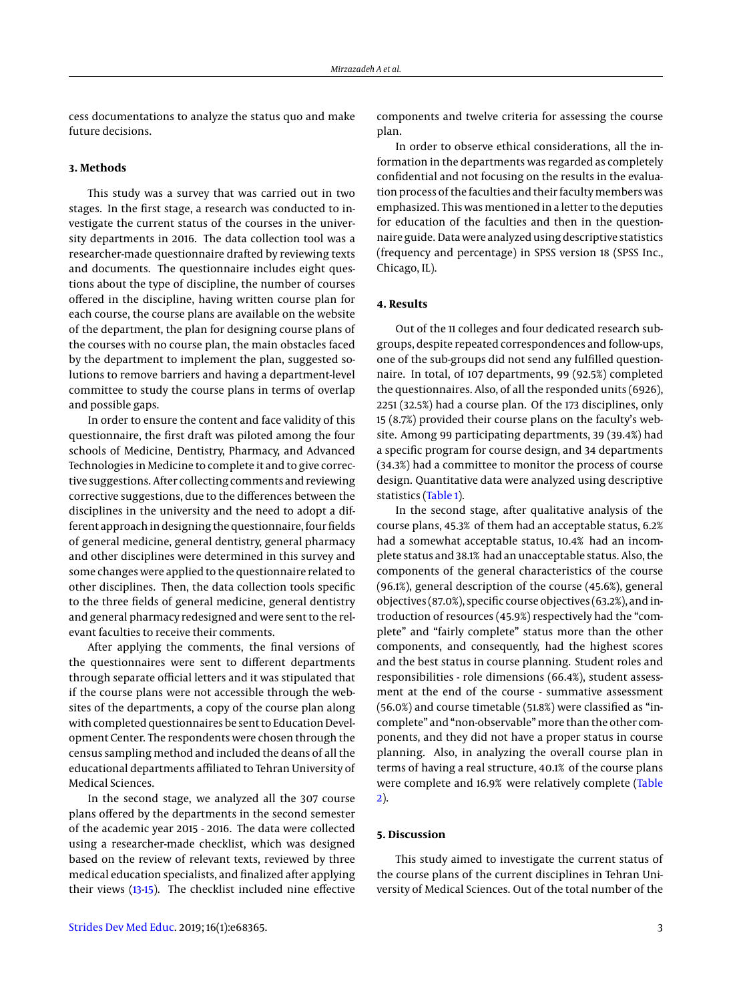cess documentations to analyze the status quo and make future decisions.

## **3. Methods**

This study was a survey that was carried out in two stages. In the first stage, a research was conducted to investigate the current status of the courses in the university departments in 2016. The data collection tool was a researcher-made questionnaire drafted by reviewing texts and documents. The questionnaire includes eight questions about the type of discipline, the number of courses offered in the discipline, having written course plan for each course, the course plans are available on the website of the department, the plan for designing course plans of the courses with no course plan, the main obstacles faced by the department to implement the plan, suggested solutions to remove barriers and having a department-level committee to study the course plans in terms of overlap and possible gaps.

In order to ensure the content and face validity of this questionnaire, the first draft was piloted among the four schools of Medicine, Dentistry, Pharmacy, and Advanced Technologies in Medicine to complete it and to give corrective suggestions. After collecting comments and reviewing corrective suggestions, due to the differences between the disciplines in the university and the need to adopt a different approach in designing the questionnaire, four fields of general medicine, general dentistry, general pharmacy and other disciplines were determined in this survey and some changes were applied to the questionnaire related to other disciplines. Then, the data collection tools specific to the three fields of general medicine, general dentistry and general pharmacy redesigned and were sent to the relevant faculties to receive their comments.

After applying the comments, the final versions of the questionnaires were sent to different departments through separate official letters and it was stipulated that if the course plans were not accessible through the websites of the departments, a copy of the course plan along with completed questionnaires be sent to Education Development Center. The respondents were chosen through the census sampling method and included the deans of all the educational departments affiliated to Tehran University of Medical Sciences.

In the second stage, we analyzed all the 307 course plans offered by the departments in the second semester of the academic year 2015 - 2016. The data were collected using a researcher-made checklist, which was designed based on the review of relevant texts, reviewed by three medical education specialists, and finalized after applying their views  $(13-15)$  $(13-15)$ . The checklist included nine effective

components and twelve criteria for assessing the course plan.

In order to observe ethical considerations, all the information in the departments was regarded as completely confidential and not focusing on the results in the evaluation process of the faculties and their faculty members was emphasized. This was mentioned in a letter to the deputies for education of the faculties and then in the questionnaire guide. Data were analyzed using descriptive statistics (frequency and percentage) in SPSS version 18 (SPSS Inc., Chicago, IL).

# **4. Results**

Out of the 11 colleges and four dedicated research subgroups, despite repeated correspondences and follow-ups, one of the sub-groups did not send any fulfilled questionnaire. In total, of 107 departments, 99 (92.5%) completed the questionnaires. Also, of all the responded units (6926), 2251 (32.5%) had a course plan. Of the 173 disciplines, only 15 (8.7%) provided their course plans on the faculty's website. Among 99 participating departments, 39 (39.4%) had a specific program for course design, and 34 departments (34.3%) had a committee to monitor the process of course design. Quantitative data were analyzed using descriptive statistics [\(Table 1\)](#page-3-0).

In the second stage, after qualitative analysis of the course plans, 45.3% of them had an acceptable status, 6.2% had a somewhat acceptable status, 10.4% had an incomplete status and 38.1% had an unacceptable status. Also, the components of the general characteristics of the course (96.1%), general description of the course (45.6%), general objectives (87.0%), specific course objectives (63.2%), and introduction of resources (45.9%) respectively had the "complete" and "fairly complete" status more than the other components, and consequently, had the highest scores and the best status in course planning. Student roles and responsibilities - role dimensions (66.4%), student assessment at the end of the course - summative assessment (56.0%) and course timetable (51.8%) were classified as "incomplete" and "non-observable" more than the other components, and they did not have a proper status in course planning. Also, in analyzing the overall course plan in terms of having a real structure, 40.1% of the course plans were complete and 16.9% were relatively complete [\(Table](#page-4-0) [2\)](#page-4-0).

# **5. Discussion**

This study aimed to investigate the current status of the course plans of the current disciplines in Tehran University of Medical Sciences. Out of the total number of the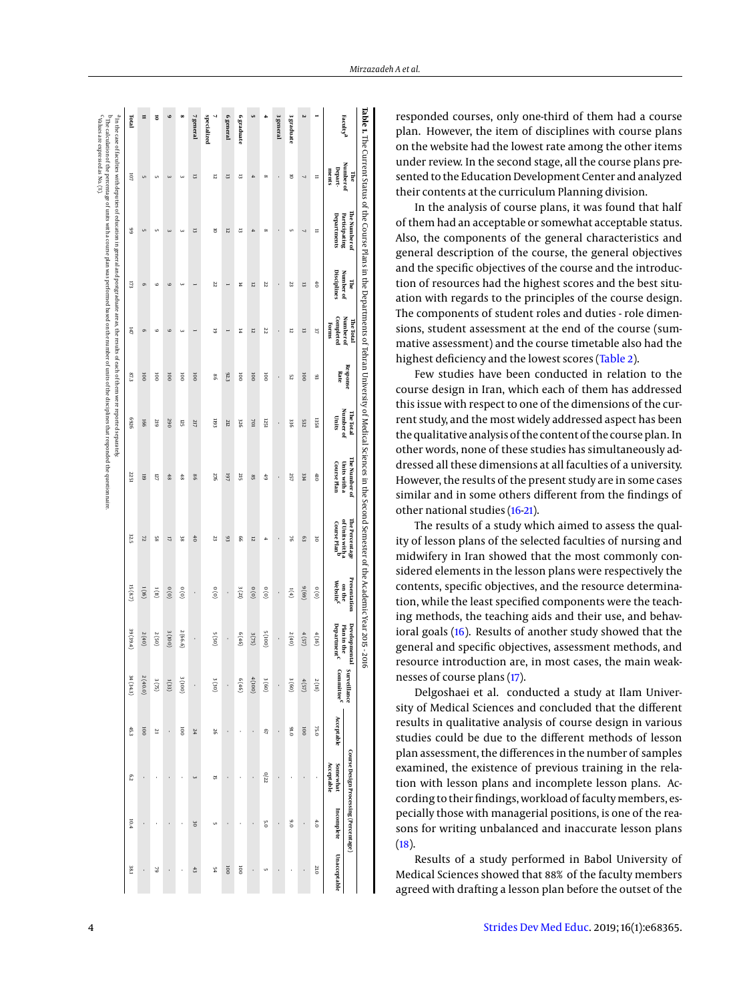<span id="page-3-0"></span>

| Ħ                                | Ę                                                                                                                                                                      | The Total                                                  |                | The Total        | The Number of      | The Percentage      | Presentation                                | <b>Developmental</b>           | Surveillance           |                |                        |      |                                       |
|----------------------------------|------------------------------------------------------------------------------------------------------------------------------------------------------------------------|------------------------------------------------------------|----------------|------------------|--------------------|---------------------|---------------------------------------------|--------------------------------|------------------------|----------------|------------------------|------|---------------------------------------|
| <b>Depart</b><br>ments           | Disciplines                                                                                                                                                            | Completed<br>Rorms                                         | Rate           | Units            | <b>Course Plan</b> |                     |                                             | ${\bf Department}^{\bf c}$     | Committee <sup>c</sup> | Acceptable     | Somewhat<br>Acceptable |      | Incomplete Unacceptable               |
| $\equiv$<br>$\equiv$             | $^{40}$                                                                                                                                                                | 3,                                                         | 8              | 1358             | $\frac{41}{10}$    | ő                   | (0)                                         | 4(36)                          | 2(18)                  | 75.0           |                        | 4.0  | 21.0                                  |
| $\overline{a}$<br>$\overline{a}$ | $\Xi$                                                                                                                                                                  | $\overline{5}$                                             | 001            | 532              | 334                | ස                   | (69)6                                       | 4 (57)                         | 4 (57)                 | <b>OOI</b>     |                        |      |                                       |
| ō                                | α                                                                                                                                                                      | 12                                                         | 52             | 336              | 257                | 97                  | $\frac{1}{4}$                               | 2(40)                          | 3 (60)                 | 0.10           |                        | 0.0  |                                       |
|                                  |                                                                                                                                                                        |                                                            |                |                  |                    |                     | í                                           | ł                              |                        |                |                        |      |                                       |
| $\infty$<br>œ                    | 22                                                                                                                                                                     | Z                                                          | $\overline{0}$ | 1251             | $\ddot{49}$        |                     | (0)                                         | $(001)$ 5                      | 3(60)                  | S)             | 0/22                   | Οʻ5  | G.                                    |
| 4<br>4                           | 12                                                                                                                                                                     | 12                                                         | $\overline{0}$ | TOT              | G9                 | 12                  | (0)                                         | 3(75)                          | (100)                  |                |                        |      |                                       |
| ā<br>E,                          | 14                                                                                                                                                                     | 14                                                         | $\overline{0}$ | 326              | 215                | $^{99}$             | 3(21)                                       | (9t)9                          | 6(46)                  |                |                        |      | ö                                     |
| 53<br>12                         |                                                                                                                                                                        |                                                            | 92.3           | 212              | <b>197</b>         | 93                  | ł,                                          | ï                              |                        |                |                        |      | $\overline{0}$                        |
| 12<br>ō                          | 22                                                                                                                                                                     | 5                                                          | 98             | E <sub>611</sub> | 276                | 23                  | (0)                                         | 5(50)                          | 3(30)                  | 56             | ū                      |      | 54                                    |
| $\overline{5}$<br>53             |                                                                                                                                                                        |                                                            | 001            | 217              | 98                 | $^{40}$             | ł                                           | ł                              |                        | 24             | $\omega$               | δÊ   | $\ddot{3}$                            |
|                                  |                                                                                                                                                                        |                                                            | $\overline{0}$ | 125              | 48                 | 38                  | (0)                                         | 2(66.6)                        | 3 (1001)               | $\overline{5}$ |                        |      |                                       |
| ننا                              | 6                                                                                                                                                                      | G                                                          | 001            | 290              | 48                 | 5                   | (0)                                         | 3 (100)                        | 1(33)                  | ï              |                        |      |                                       |
| G,                               | G                                                                                                                                                                      | G                                                          | $\overline{0}$ | 219              | 127                | 85                  | $\tilde{\Xi}$                               | 2(50)                          | 3(75)                  | 12             |                        |      | 5                                     |
| $\overline{u}$                   | 9                                                                                                                                                                      | $\sigma$                                                   | $\overline{0}$ | 991              | $\overline{5}$     | 72                  | (91)1                                       | 2(40)                          | 2(40.0)                | $\overline{0}$ |                        |      |                                       |
| 107<br>8                         | 173                                                                                                                                                                    | $\overline{H}$                                             | 87.3           | 9769             | 2251               | 32.5                | 15(8.7)                                     | 39(39.4)                       | 34(34.3)               | 453            | $^{0.2}$               | 10.4 | 38.1                                  |
|                                  | <sup>a</sup> In the case of faculties with deputies of education in general and postgraduate areas, the results of each of them were reported separately.<br>Number of | The Number of<br>Departments<br>Participating<br>Number of | Number of      | <b>Response</b>  | Number of          | <b>Units with a</b> | of Units with a<br>Course Plan <sup>b</sup> | on the<br>Website <sup>c</sup> | Plan in the            |                |                        |      | Course Design Processing (Percentage) |

responded courses, only one-third of them had a course plan. However, the item of disciplines with course plans on the website had the lowest rate among the other items under review. In the second stage, all the course plans presented to the Education Development Center and analyzed their contents at the curriculum Planning division.

In the analysis of course plans, it was found that half of them had an acceptable or somewhat acceptable status. Also, the components of the general characteristics and general description of the course, the general objectives and the specific objectives of the course and the introduction of resources had the highest scores and the best situation with regards to the principles of the course design. The components of student roles and duties - role dimensions, student assessment at the end of the course (summative assessment) and the course timetable also had the highest deficiency and the lowest scores [\(Table 2\)](#page-4-0).

Few studies have been conducted in relation to the course design in Iran, which each of them has addressed this issue with respect to one of the dimensions of the current study, and the most widely addressed aspect has been the qualitative analysis of the content of the course plan. In other words, none of these studies has simultaneously addressed all these dimensions at all faculties of a university. However, the results of the present study are in some cases similar and in some others different from the findings of other national studies [\(16-](#page-6-14)[21\)](#page-6-15).

The results of a study which aimed to assess the quality of lesson plans of the selected faculties of nursing and midwifery in Iran showed that the most commonly considered elements in the lesson plans were respectively the contents, specific objectives, and the resource determination, while the least specified components were the teaching methods, the teaching aids and their use, and behavioral goals [\(16\)](#page-6-14). Results of another study showed that the general and specific objectives, assessment methods, and resource introduction are, in most cases, the main weaknesses of course plans [\(17\)](#page-6-16).

Delgoshaei et al. conducted a study at Ilam University of Medical Sciences and concluded that the different results in qualitative analysis of course design in various studies could be due to the different methods of lesson plan assessment, the differences in the number of samples examined, the existence of previous training in the relation with lesson plans and incomplete lesson plans. According to their findings, workload of faculty members, especially those with managerial positions, is one of the reasons for writing unbalanced and inaccurate lesson plans  $(18)$ .

Results of a study performed in Babol University of Medical Sciences showed that 88% of the faculty members agreed with drafting a lesson plan before the outset of the

cValues are expressed as No. (%).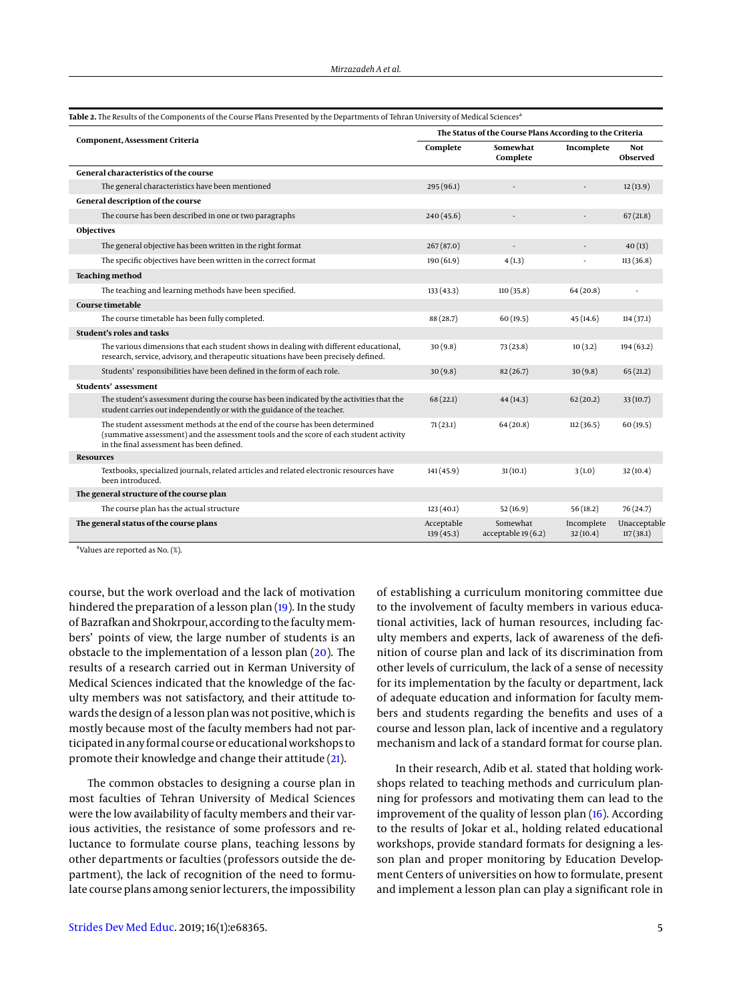<span id="page-4-0"></span>

| Table 2. The Results of the Components of the Course Plans Presented by the Departments of Tehran University of Medical Sciences <sup>a</sup>                                                                      |                         |                                                          |                        |                           |  |
|--------------------------------------------------------------------------------------------------------------------------------------------------------------------------------------------------------------------|-------------------------|----------------------------------------------------------|------------------------|---------------------------|--|
| <b>Component, Assessment Criteria</b>                                                                                                                                                                              |                         | The Status of the Course Plans According to the Criteria |                        |                           |  |
|                                                                                                                                                                                                                    | Complete                | Somewhat<br>Complete                                     | Incomplete             | Not<br>Observed           |  |
| <b>General characteristics of the course</b>                                                                                                                                                                       |                         |                                                          |                        |                           |  |
| The general characteristics have been mentioned                                                                                                                                                                    | 295 (96.1)              |                                                          |                        | 12(13.9)                  |  |
| General description of the course                                                                                                                                                                                  |                         |                                                          |                        |                           |  |
| The course has been described in one or two paragraphs                                                                                                                                                             | 240(45.6)               |                                                          |                        | 67(21.8)                  |  |
| Objectives                                                                                                                                                                                                         |                         |                                                          |                        |                           |  |
| The general objective has been written in the right format                                                                                                                                                         | 267(87.0)               | $\overline{\phantom{a}}$                                 |                        | 40(13)                    |  |
| The specific objectives have been written in the correct format                                                                                                                                                    | 190 (61.9)              | 4(1.3)                                                   |                        | 113(36.8)                 |  |
| <b>Teaching method</b>                                                                                                                                                                                             |                         |                                                          |                        |                           |  |
| The teaching and learning methods have been specified.                                                                                                                                                             | 133(43.3)               | 110(35.8)                                                | 64(20.8)               |                           |  |
| Course timetable                                                                                                                                                                                                   |                         |                                                          |                        |                           |  |
| The course timetable has been fully completed.                                                                                                                                                                     | 88 (28.7)               | 60(19.5)                                                 | 45(14.6)               | 114(37.1)                 |  |
| Student's roles and tasks                                                                                                                                                                                          |                         |                                                          |                        |                           |  |
| The various dimensions that each student shows in dealing with different educational,<br>research, service, advisory, and therapeutic situations have been precisely defined.                                      | 30(9.8)                 | 73(23.8)                                                 | 10(3.2)                | 194(63.2)                 |  |
| Students' responsibilities have been defined in the form of each role.                                                                                                                                             | 30(9.8)                 | 82(26.7)                                                 | 30(9.8)                | 65(21.2)                  |  |
| Students' assessment                                                                                                                                                                                               |                         |                                                          |                        |                           |  |
| The student's assessment during the course has been indicated by the activities that the<br>student carries out independently or with the guidance of the teacher.                                                 | 68(22.1)                | 44 (14.3)                                                | 62(20.2)               | 33(10.7)                  |  |
| The student assessment methods at the end of the course has been determined<br>(summative assessment) and the assessment tools and the score of each student activity<br>in the final assessment has been defined. | 71(23.1)                | 64(20.8)                                                 | 112(36.5)              | 60(19.5)                  |  |
| <b>Resources</b>                                                                                                                                                                                                   |                         |                                                          |                        |                           |  |
| Textbooks, specialized journals, related articles and related electronic resources have<br>been introduced.                                                                                                        | 141(45.9)               | 31(10.1)                                                 | 3(1.0)                 | 32(10.4)                  |  |
| The general structure of the course plan                                                                                                                                                                           |                         |                                                          |                        |                           |  |
| The course plan has the actual structure                                                                                                                                                                           | 123(40.1)               | 52(16.9)                                                 | 56(18.2)               | 76 (24.7)                 |  |
| The general status of the course plans                                                                                                                                                                             | Acceptable<br>139(45.3) | Somewhat<br>acceptable 19 (6.2)                          | Incomplete<br>32(10.4) | Unacceptable<br>117(38.1) |  |

<sup>a</sup> Values are reported as No. (%).

course, but the work overload and the lack of motivation hindered the preparation of a lesson plan [\(19\)](#page-6-18). In the study of Bazrafkan and Shokrpour, according to the facultymembers' points of view, the large number of students is an obstacle to the implementation of a lesson plan [\(20\)](#page-6-19). The results of a research carried out in Kerman University of Medical Sciences indicated that the knowledge of the faculty members was not satisfactory, and their attitude towards the design of a lesson plan was not positive, which is mostly because most of the faculty members had not participated in any formal course or educational workshops to promote their knowledge and change their attitude [\(21\)](#page-6-15).

The common obstacles to designing a course plan in most faculties of Tehran University of Medical Sciences were the low availability of faculty members and their various activities, the resistance of some professors and reluctance to formulate course plans, teaching lessons by other departments or faculties (professors outside the department), the lack of recognition of the need to formulate course plans among senior lecturers, the impossibility of establishing a curriculum monitoring committee due to the involvement of faculty members in various educational activities, lack of human resources, including faculty members and experts, lack of awareness of the definition of course plan and lack of its discrimination from other levels of curriculum, the lack of a sense of necessity for its implementation by the faculty or department, lack of adequate education and information for faculty members and students regarding the benefits and uses of a course and lesson plan, lack of incentive and a regulatory mechanism and lack of a standard format for course plan.

In their research, Adib et al. stated that holding workshops related to teaching methods and curriculum planning for professors and motivating them can lead to the improvement of the quality of lesson plan [\(16\)](#page-6-14). According to the results of Jokar et al., holding related educational workshops, provide standard formats for designing a lesson plan and proper monitoring by Education Development Centers of universities on how to formulate, present and implement a lesson plan can play a significant role in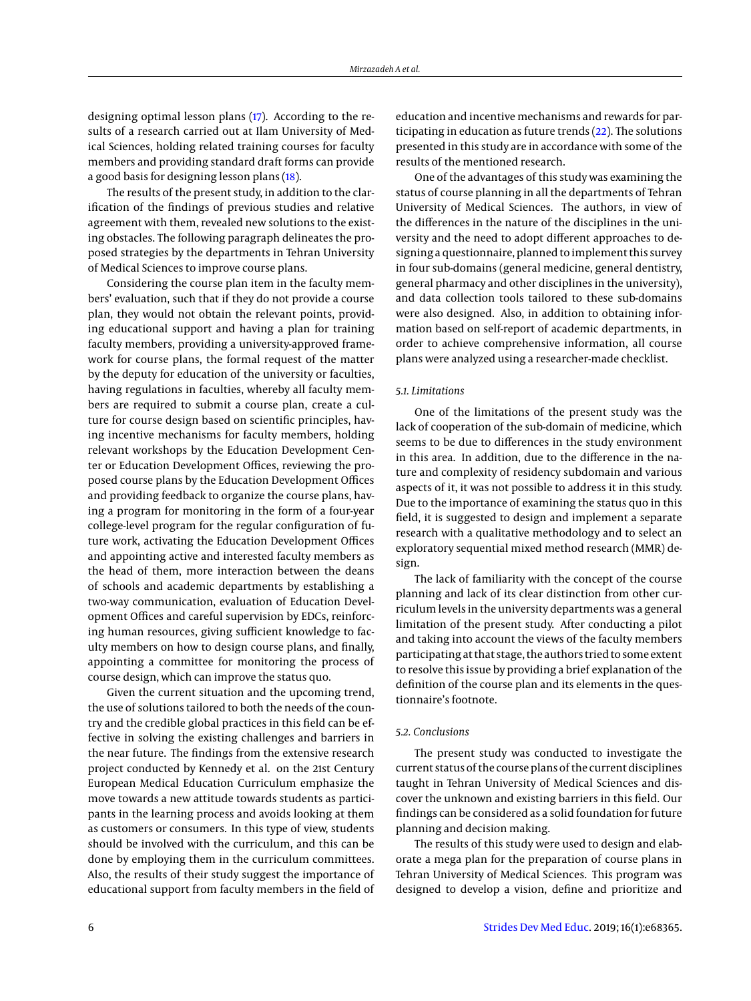designing optimal lesson plans [\(17\)](#page-6-16). According to the results of a research carried out at Ilam University of Medical Sciences, holding related training courses for faculty members and providing standard draft forms can provide a good basis for designing lesson plans [\(18\)](#page-6-17).

The results of the present study, in addition to the clarification of the findings of previous studies and relative agreement with them, revealed new solutions to the existing obstacles. The following paragraph delineates the proposed strategies by the departments in Tehran University of Medical Sciences to improve course plans.

Considering the course plan item in the faculty members' evaluation, such that if they do not provide a course plan, they would not obtain the relevant points, providing educational support and having a plan for training faculty members, providing a university-approved framework for course plans, the formal request of the matter by the deputy for education of the university or faculties, having regulations in faculties, whereby all faculty members are required to submit a course plan, create a culture for course design based on scientific principles, having incentive mechanisms for faculty members, holding relevant workshops by the Education Development Center or Education Development Offices, reviewing the proposed course plans by the Education Development Offices and providing feedback to organize the course plans, having a program for monitoring in the form of a four-year college-level program for the regular configuration of future work, activating the Education Development Offices and appointing active and interested faculty members as the head of them, more interaction between the deans of schools and academic departments by establishing a two-way communication, evaluation of Education Development Offices and careful supervision by EDCs, reinforcing human resources, giving sufficient knowledge to faculty members on how to design course plans, and finally, appointing a committee for monitoring the process of course design, which can improve the status quo.

Given the current situation and the upcoming trend, the use of solutions tailored to both the needs of the country and the credible global practices in this field can be effective in solving the existing challenges and barriers in the near future. The findings from the extensive research project conducted by Kennedy et al. on the 21st Century European Medical Education Curriculum emphasize the move towards a new attitude towards students as participants in the learning process and avoids looking at them as customers or consumers. In this type of view, students should be involved with the curriculum, and this can be done by employing them in the curriculum committees. Also, the results of their study suggest the importance of educational support from faculty members in the field of

education and incentive mechanisms and rewards for participating in education as future trends  $(22)$ . The solutions presented in this study are in accordance with some of the results of the mentioned research.

One of the advantages of this study was examining the status of course planning in all the departments of Tehran University of Medical Sciences. The authors, in view of the differences in the nature of the disciplines in the university and the need to adopt different approaches to designing a questionnaire, planned to implement this survey in four sub-domains (general medicine, general dentistry, general pharmacy and other disciplines in the university), and data collection tools tailored to these sub-domains were also designed. Also, in addition to obtaining information based on self-report of academic departments, in order to achieve comprehensive information, all course plans were analyzed using a researcher-made checklist.

#### *5.1. Limitations*

One of the limitations of the present study was the lack of cooperation of the sub-domain of medicine, which seems to be due to differences in the study environment in this area. In addition, due to the difference in the nature and complexity of residency subdomain and various aspects of it, it was not possible to address it in this study. Due to the importance of examining the status quo in this field, it is suggested to design and implement a separate research with a qualitative methodology and to select an exploratory sequential mixed method research (MMR) design.

The lack of familiarity with the concept of the course planning and lack of its clear distinction from other curriculum levels in the university departments was a general limitation of the present study. After conducting a pilot and taking into account the views of the faculty members participating at that stage, the authors tried to some extent to resolve this issue by providing a brief explanation of the definition of the course plan and its elements in the questionnaire's footnote.

## *5.2. Conclusions*

The present study was conducted to investigate the current status of the course plans of the current disciplines taught in Tehran University of Medical Sciences and discover the unknown and existing barriers in this field. Our findings can be considered as a solid foundation for future planning and decision making.

The results of this study were used to design and elaborate a mega plan for the preparation of course plans in Tehran University of Medical Sciences. This program was designed to develop a vision, define and prioritize and